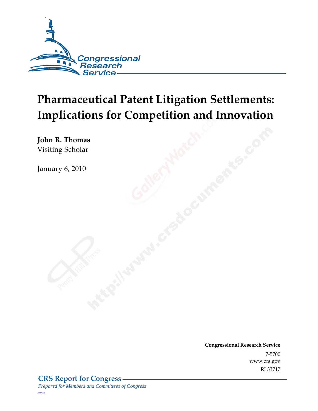

# **Pharmaceutical Patent Litigation Settlements: Implications for Competition and Innovation**

**John R. Thomas**  Visiting Scholar

January 6, 2010

**Congressional Research Service** 7-5700 www.crs.gov RL33717

*c11173008*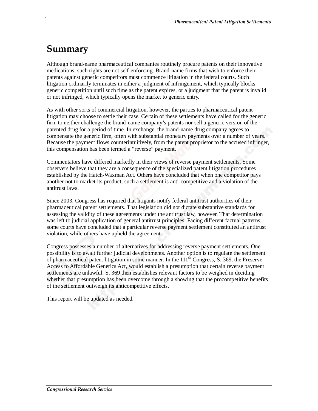# **Summary**

.

Although brand-name pharmaceutical companies routinely procure patents on their innovative medications, such rights are not self-enforcing. Brand-name firms that wish to enforce their patents against generic competitors must commence litigation in the federal courts. Such litigation ordinarily terminates in either a judgment of infringement, which typically blocks generic competition until such time as the patent expires, or a judgment that the patent is invalid or not infringed, which typically opens the market to generic entry.

As with other sorts of commercial litigation, however, the parties to pharmaceutical patent litigation may choose to settle their case. Certain of these settlements have called for the generic firm to neither challenge the brand-name company's patents nor sell a generic version of the patented drug for a period of time. In exchange, the brand-name drug company agrees to compensate the generic firm, often with substantial monetary payments over a number of years. Because the payment flows counterintuitively, from the patent proprietor to the accused infringer, this compensation has been termed a "reverse" payment.

Commentators have differed markedly in their views of reverse payment settlements. Some observers believe that they are a consequence of the specialized patent litigation procedures established by the Hatch-Waxman Act. Others have concluded that when one competitor pays another not to market its product, such a settlement is anti-competitive and a violation of the antitrust laws.

Since 2003, Congress has required that litigants notify federal antitrust authorities of their pharmaceutical patent settlements. That legislation did not dictate substantive standards for assessing the validity of these agreements under the antitrust law, however. That determination was left to judicial application of general antitrust principles. Facing different factual patterns, some courts have concluded that a particular reverse payment settlement constituted an antitrust violation, while others have upheld the agreement.

Congress possesses a number of alternatives for addressing reverse payment settlements. One possibility is to await further judicial developments. Another option is to regulate the settlement of pharmaceutical patent litigation in some manner. In the  $111<sup>th</sup>$  Congress, S. 369, the Preserve Access to Affordable Generics Act, would establish a presumption that certain reverse payment settlements are unlawful. S. 369 then establishes relevant factors to be weighed in deciding whether that presumption has been overcome through a showing that the procompetitive benefits of the settlement outweigh its anticompetitive effects.

This report will be updated as needed.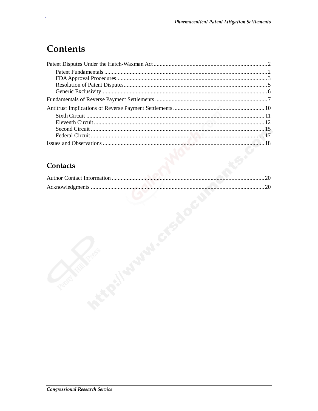# Contents

### Contacts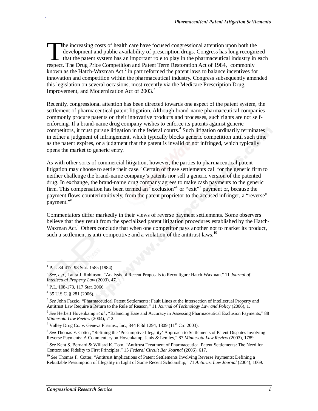he increasing costs of health care have focused congressional attention upon both the development and public availability of prescription drugs. Congress has long recognized that the patent system has an important role to play in the pharmaceutical industry in each The increasing costs of health care have focused congressional attention upon both the development and public availability of prescription drugs. Congress has long recogn that the patent system has an important role to pla known as the Hatch-Waxman Act, $2$  in part reformed the patent laws to balance incentives for innovation and competition within the pharmaceutical industry. Congress subsequently amended this legislation on several occasions, most recently via the Medicare Prescription Drug, Improvement, and Modernization Act of 2003.<sup>3</sup>

Recently, congressional attention has been directed towards one aspect of the patent system, the settlement of pharmaceutical patent litigation. Although brand-name pharmaceutical companies commonly procure patents on their innovative products and processes, such rights are not selfenforcing. If a brand-name drug company wishes to enforce its patents against generic competitors, it must pursue litigation in the federal courts.<sup>4</sup> Such litigation ordinarily terminates in either a judgment of infringement, which typically blocks generic competition until such time as the patent expires, or a judgment that the patent is invalid or not infringed, which typically opens the market to generic entry.

As with other sorts of commercial litigation, however, the parties to pharmaceutical patent litigation may choose to settle their case.<sup>5</sup> Certain of these settlements call for the generic firm to neither challenge the brand-name company's patents nor sell a generic version of the patented drug. In exchange, the brand-name drug company agrees to make cash payments to the generic firm. This compensation has been termed an "exclusion"<sup>6</sup> or "exit"<sup>7</sup> payment or, because the payment flows counterintuitively, from the patent proprietor to the accused infringer, a "reverse" payment."<sup>8</sup>

Commentators differ markedly in their views of reverse payment settlements. Some observers believe that they result from the specialized patent litigation procedures established by the Hatch-Waxman Act.<sup>9</sup> Others conclude that when one competitor pays another not to market its product, such a settlement is anti-competitive and a violation of the antitrust laws.<sup>10</sup>

<u>.</u>

.

<sup>8</sup> *See* Thomas F. Cotter, "Refining the 'Presumptive Illegality' Approach to Settlements of Patent Disputes Involving Reverse Payments: A Commentary on Hovenkamp, Janis & Lemley," 87 *Minnesota Law Review* (2003), 1789.

<sup>&</sup>lt;sup>1</sup> P.L. 84-417, 98 Stat. 1585 (1984).

<sup>2</sup> *See, e.g.,* Laura J. Robinson, "Analysis of Recent Proposals to Reconfigure Hatch-Waxman," 11 *Journal of Intellectual Property Law* (2003), 47.

<sup>3</sup> P.L. 108-173, 117 Stat. 2066.

<sup>4</sup> 35 U.S.C. § 281 (2006).

<sup>5</sup> *See* John Fazzio, "Pharmaceutical Patent Settlements: Fault Lines at the Intersection of Intellectual Property and Antitrust Law Require a Return to the Rule of Reason," 11 *Journal of Technology Law and Policy* (2006), 1.

<sup>6</sup> *See* Herbert Hovenkamp *et al.*, "Balancing Ease and Accuracy in Assessing Pharmaceutical Exclusion Payments," 88 *Minnesota Law Review* (2004), 712.

<sup>&</sup>lt;sup>7</sup> Valley Drug Co. v. Geneva Pharms., Inc., 344 F.3d 1294, 1309 ( $11<sup>th</sup>$  Cir. 2003).

<sup>9</sup> *See* Kent S. Bernard & Willard K. Tom, "Antitrust Treatment of Pharmaceutical Patent Settlements: The Need for Context and Fidelity to First Principles," 15 *Federal Circuit Bar Journal* (2006), 617.

<sup>&</sup>lt;sup>10</sup> See Thomas F. Cotter, "Antitrust Implications of Patent Settlements Involving Reverse Payments: Defining a Rebuttable Presumption of Illegality in Light of Some Recent Scholarship," 71 *Antitrust Law Journal* (2004), 1069.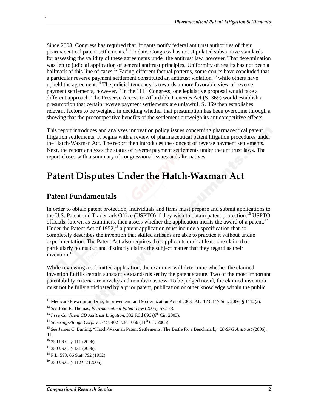Since 2003, Congress has required that litigants notify federal antitrust authorities of their pharmaceutical patent settlements.11 To date, Congress has not stipulated substantive standards for assessing the validity of these agreements under the antitrust law, however. That determination was left to judicial application of general antitrust principles. Uniformity of results has not been a hallmark of this line of cases.<sup>12</sup> Facing different factual patterns, some courts have concluded that a particular reverse payment settlement constituted an antitrust violation,<sup>13</sup> while others have upheld the agreement.<sup>14</sup> The judicial tendency is towards a more favorable view of reverse payment settlements, however.<sup>15</sup> In the 111<sup>th</sup> Congress, one legislative proposal would take a different approach. The Preserve Access to Affordable Generics Act (S. 369) would establish a presumption that certain reverse payment settlements are unlawful. S. 369 then establishes relevant factors to be weighed in deciding whether that presumption has been overcome through a showing that the procompetitive benefits of the settlement outweigh its anticompetitive effects.

This report introduces and analyzes innovation policy issues concerning pharmaceutical patent litigation settlements. It begins with a review of pharmaceutical patent litigation procedures under the Hatch-Waxman Act. The report then introduces the concept of reverse payment settlements. Next, the report analyzes the status of reverse payment settlements under the antitrust laws. The report closes with a summary of congressional issues and alternatives.

### **Patent Disputes Under the Hatch-Waxman Act**

#### **Patent Fundamentals**

In order to obtain patent protection, individuals and firms must prepare and submit applications to the U.S. Patent and Trademark Office (USPTO) if they wish to obtain patent protection.<sup>16</sup> USPTO officials, known as examiners, then assess whether the application merits the award of a patent.<sup>17</sup> Under the Patent Act of  $1952<sup>18</sup>$  a patent application must include a specification that so completely describes the invention that skilled artisans are able to practice it without undue experimentation. The Patent Act also requires that applicants draft at least one claim that particularly points out and distinctly claims the subject matter that they regard as their invention.<sup>19</sup>

While reviewing a submitted application, the examiner will determine whether the claimed invention fulfills certain substantive standards set by the patent statute. Two of the most important patentability criteria are novelty and nonobviousness. To be judged novel, the claimed invention must not be fully anticipated by a prior patent, publication or other knowledge within the public

1

<sup>&</sup>lt;sup>11</sup> Medicare Prescription Drug, Improvement, and Modernization Act of 2003, P.L. 173, 117 Stat. 2066, § 1112(a).

<sup>12</sup> *See* John R. Thomas, *Pharmaceutical Patent Law* (2005), 572-73.

 $13$  *In re Cardizem CD Antitrust Litigation*, 332 F.3d 896 ( $6<sup>th</sup>$  Cir. 2003).

<sup>&</sup>lt;sup>14</sup> *Schering-Plough Corp. v. FTC*, 402 F.3d 1056 ( $11^{th}$  Cir. 2005).

<sup>15</sup> *See* James C. Burling, "Hatch-Waxman Patent Settlements: The Battle for a Benchmark," *20-SPG Antitrust* (2006), 41.

<sup>16 35</sup> U.S.C. § 111 (2006).

<sup>&</sup>lt;sup>17</sup> 35 U.S.C. § 131 (2006).

<sup>18</sup> P.L. 593, 66 Stat. 792 (1952).

<sup>19 35</sup> U.S.C. § 112 ¶ 2 (2006).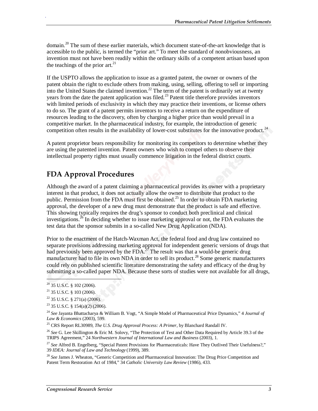domain.<sup>20</sup> The sum of these earlier materials, which document state-of-the-art knowledge that is accessible to the public, is termed the "prior art." To meet the standard of nonobviousness, an invention must not have been readily within the ordinary skills of a competent artisan based upon the teachings of the prior  $art.^{21}$ .

If the USPTO allows the application to issue as a granted patent, the owner or owners of the patent obtain the right to exclude others from making, using, selling, offering to sell or importing into the United States the claimed invention.<sup>22</sup> The term of the patent is ordinarily set at twenty years from the date the patent application was filed.<sup>23</sup> Patent title therefore provides inventors with limited periods of exclusivity in which they may practice their inventions, or license others to do so. The grant of a patent permits inventors to receive a return on the expenditure of resources leading to the discovery, often by charging a higher price than would prevail in a competitive market. In the pharmaceutical industry, for example, the introduction of generic competition often results in the availability of lower-cost substitutes for the innovative product.<sup>24</sup>

A patent proprietor bears responsibility for monitoring its competitors to determine whether they are using the patented invention. Patent owners who wish to compel others to observe their intellectual property rights must usually commence litigation in the federal district courts.

### **FDA Approval Procedures**

Although the award of a patent claiming a pharmaceutical provides its owner with a proprietary interest in that product, it does not actually allow the owner to distribute that product to the public. Permission from the FDA must first be obtained.<sup>25</sup> In order to obtain FDA marketing approval, the developer of a new drug must demonstrate that the product is safe and effective. This showing typically requires the drug's sponsor to conduct both preclinical and clinical investigations.<sup>26</sup> In deciding whether to issue marketing approval or not, the FDA evaluates the test data that the sponsor submits in a so-called New Drug Application (NDA).

Prior to the enactment of the Hatch-Waxman Act, the federal food and drug law contained no separate provisions addressing marketing approval for independent generic versions of drugs that had previously been approved by the FDA.<sup>27</sup> The result was that a would-be generic drug manufacturer had to file its own NDA in order to sell its product.<sup>28</sup> Some generic manufacturers could rely on published scientific literature demonstrating the safety and efficacy of the drug by submitting a so-called paper NDA. Because these sorts of studies were not available for all drugs,

**.** 

 $20$  35 U.S.C. § 102 (2006).

 $21$  35 U.S.C. § 103 (2006).

 $22$  35 U.S.C. § 271(a) (2006).

<sup>23 35</sup> U.S.C. § 154(a)(2) (2006).

<sup>24</sup> *See* Jayanta Bhattacharya & William B. Vogt, "A Simple Model of Pharmaceutical Price Dynamics," 4 *Journal of Law & Economics* (2003), 599.

<sup>25</sup> CRS Report RL30989, *The U.S. Drug Approval Process: A Primer*, by Blanchard Randall IV.

<sup>26</sup> *See* G. Lee Skillington & Eric M. Solovy, "The Protection of Test and Other Data Required by Article 39.3 of the TRIPS Agreement," 24 *Northwestern Journal of International Law and Business* (2003), 1.

<sup>27</sup> *See* Alfred B. Engelberg, "Special Patent Provisions for Pharmaceuticals: Have They Outlived Their Usefulness?," 39 *IDEA: Journal of Law and Technology* (1999), 389.

<sup>&</sup>lt;sup>28</sup> See James J. Wheaton, "Generic Competition and Pharmaceutical Innovation: The Drug Price Competition and Patent Term Restoration Act of 1984," 34 *Catholic University Law Review* (1986), 433.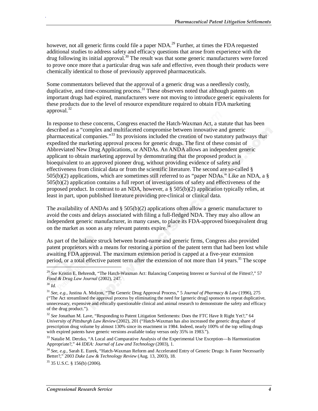however, not all generic firms could file a paper NDA.<sup>29</sup> Further, at times the FDA requested additional studies to address safety and efficacy questions that arose from experience with the drug following its initial approval.30 The result was that some generic manufacturers were forced to prove once more that a particular drug was safe and effective, even though their products were chemically identical to those of previously approved pharmaceuticals.

Some commentators believed that the approval of a generic drug was a needlessly costly, duplicative, and time-consuming process.<sup>31</sup> These observers noted that although patents on important drugs had expired, manufacturers were not moving to introduce generic equivalents for these products due to the level of resource expenditure required to obtain FDA marketing approval.<sup>32</sup>

In response to these concerns, Congress enacted the Hatch-Waxman Act, a statute that has been described as a "complex and multifaceted compromise between innovative and generic pharmaceutical companies."<sup>33</sup> Its provisions included the creation of two statutory pathways that expedited the marketing approval process for generic drugs. The first of these consist of Abbreviated New Drug Applications, or ANDAs. An ANDA allows an independent generic applicant to obtain marketing approval by demonstrating that the proposed product is bioequivalent to an approved pioneer drug, without providing evidence of safety and effectiveness from clinical data or from the scientific literature. The second are so-called § 505(b)(2) applications, which are sometimes still referred to as "paper NDAs." Like an NDA, a § 505(b)(2) application contains a full report of investigations of safety and effectiveness of the proposed product. In contrast to an NDA, however, a  $\S 505(b)(2)$  application typically relies, at least in part, upon published literature providing pre-clinical or clinical data.

The availability of ANDAs and  $\S$  505(b)(2) applications often allow a generic manufacturer to avoid the costs and delays associated with filing a full-fledged NDA. They may also allow an independent generic manufacturer, in many cases, to place its FDA-approved bioequivalent drug on the market as soon as any relevant patents expire.<sup>34</sup>

As part of the balance struck between brand-name and generic firms, Congress also provided patent proprietors with a means for restoring a portion of the patent term that had been lost while awaiting FDA approval. The maximum extension period is capped at a five-year extension period, or a total effective patent term after the extension of not more than  $14$  years.<sup>35</sup> The scope

.

35 35 U.S.C. § 156(b) (2006).

<sup>29</sup> *See* Kristin E. Behrendt, "The Hatch-Waxman Act: Balancing Competing Interest or Survival of the Fittest?," 57 *Food & Drug Law Journal* (2002), 247.

<sup>30</sup> *Id.*

<sup>31</sup> *See, e.g.,* Justina A. Molzon, "The Generic Drug Approval Process," 5 *Journal of Pharmacy & Law* (1996), 275 ("The Act streamlined the approval process by eliminating the need for [generic drug] sponsors to repeat duplicative, unnecessary, expensive and ethically questionable clinical and animal research to demonstrate the safety and efficacy of the drug product.").

<sup>32</sup> *See* Jonathan M. Lave, "Responding to Patent Litigation Settlements: Does the FTC Have It Right Yet?," 64 *University of Pittsburgh Law Review*(2002), 201 ("Hatch-Waxman has also increased the generic drug share of prescription drug volume by almost 130% since its enactment in 1984. Indeed, nearly 100% of the top selling drugs with expired patents have generic versions available today versus only 35% in 1983.").

<sup>&</sup>lt;sup>33</sup> Natalie M. Derzko, "A Local and Comparative Analysis of the Experimental Use Exception—Is Harmonization Appropriate?," 44 *IDEA: Journal of Law and Technology* (2003), 1.

<sup>34</sup> *See, e.g.,* Sarah E. Eurek, "Hatch-Waxman Reform and Accelerated Entry of Generic Drugs: Is Faster Necessarily Better?," 2003 *Duke Law & Technology Review* (Aug. 13, 2003), 18.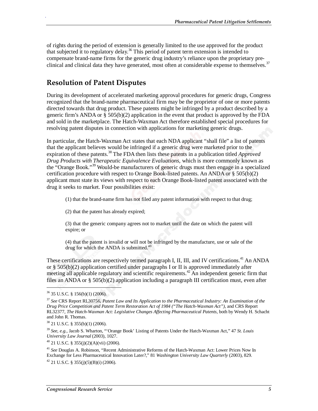of rights during the period of extension is generally limited to the use approved for the product that subjected it to regulatory delay.<sup>36</sup> This period of patent term extension is intended to compensate brand-name firms for the generic drug industry's reliance upon the proprietary preclinical and clinical data they have generated, most often at considerable expense to themselves.<sup>37</sup>

### **Resolution of Patent Disputes**

During its development of accelerated marketing approval procedures for generic drugs, Congress recognized that the brand-name pharmaceutical firm may be the proprietor of one or more patents directed towards that drug product. These patents might be infringed by a product described by a generic firm's ANDA or § 505(b)(2) application in the event that product is approved by the FDA and sold in the marketplace. The Hatch-Waxman Act therefore established special procedures for resolving patent disputes in connection with applications for marketing generic drugs.

In particular, the Hatch-Waxman Act states that each NDA applicant "shall file" a list of patents that the applicant believes would be infringed if a generic drug were marketed prior to the expiration of these patents.<sup>38</sup> The FDA then lists these patents in a publication titled *Approved Drug Products with Therapeutic Equivalence Evaluations*, which is more commonly known as the "Orange Book."<sup>39</sup> Would-be manufacturers of generic drugs must then engage in a specialized certification procedure with respect to Orange Book-listed patents. An ANDA or  $\S 505(b)(2)$ applicant must state its views with respect to each Orange Book-listed patent associated with the drug it seeks to market. Four possibilities exist:

(1) that the brand-name firm has not filed any patent information with respect to that drug;

(2) that the patent has already expired;

(3) that the generic company agrees not to market until the date on which the patent will expire; or

(4) that the patent is invalid or will not be infringed by the manufacture, use or sale of the drug for which the ANDA is submitted. $40$ 

These certifications are respectively termed paragraph I, II, III, and IV certifications.<sup>41</sup> An ANDA or § 505(b)(2) application certified under paragraphs I or II is approved immediately after meeting all applicable regulatory and scientific requirements.<sup>42</sup> An independent generic firm that files an ANDA or § 505(b)(2) application including a paragraph III certification must, even after

1

.

 $^{40}$  21 U.S.C. § 355(j)(2)(A)(vii) (2006).

<sup>41</sup> *See* Douglas A. Robinson, "Recent Administrative Reforms of the Hatch-Waxman Act: Lower Prices Now In Exchange for Less Pharmaceutical Innovation Later?," 81 *Washington University Law Quarterly* (2003), 829.

 $42$  21 U.S.C. § 355(j)(5)(B)(i) (2006).

<sup>36 35</sup> U.S.C. § 156(b)(1) (2006).

<sup>37</sup> *See* CRS Report RL30756, *Patent Law and Its Application to the Pharmaceutical Industry: An Examination of the Drug Price Competition and Patent Term Restoration Act of 1984 ("The Hatch-Waxman Act")*, and CRS Report RL32377, *The Hatch-Waxman Act: Legislative Changes Affecting Pharmaceutical Patents*, both by Wendy H. Schacht and John R. Thomas.

 $38$  21 U.S.C. § 355(b)(1) (2006).

<sup>39</sup> *See, e.g.,* Jacob S. Wharton, "'Orange Book' Listing of Patents Under the Hatch-Waxman Act," 47 *St. Louis University Law Journal* (2003), 1027.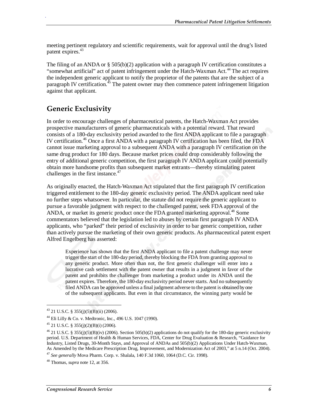meeting pertinent regulatory and scientific requirements, wait for approval until the drug's listed patent expires.<sup>43</sup>

The filing of an ANDA or  $\S$  505(b)(2) application with a paragraph IV certification constitutes a "somewhat artificial" act of patent infringement under the Hatch-Waxman Act.<sup>44</sup> The act requires the independent generic applicant to notify the proprietor of the patents that are the subject of a paragraph IV certification.<sup>45</sup> The patent owner may then commence patent infringement litigation against that applicant.

#### **Generic Exclusivity**

.

In order to encourage challenges of pharmaceutical patents, the Hatch-Waxman Act provides prospective manufacturers of generic pharmaceuticals with a potential reward. That reward consists of a 180-day exclusivity period awarded to the first ANDA applicant to file a paragraph IV certification.<sup>46</sup> Once a first ANDA with a paragraph IV certification has been filed, the FDA cannot issue marketing approval to a subsequent ANDA with a paragraph IV certification on the same drug product for 180 days. Because market prices could drop considerably following the entry of additional generic competition, the first paragraph IV ANDA applicant could potentially obtain more handsome profits than subsequent market entrants—thereby stimulating patent challenges in the first instance.<sup>47</sup>

As originally enacted, the Hatch-Waxman Act stipulated that the first paragraph IV certification triggered entitlement to the 180-day generic exclusivity period. The ANDA applicant need take no further steps whatsoever. In particular, the statute did not require the generic applicant to pursue a favorable judgment with respect to the challenged patent, seek FDA approval of the ANDA, or market its generic product once the FDA granted marketing approval.<sup>48</sup> Some commentators believed that the legislation led to abuses by certain first paragraph IV ANDA applicants, who "parked" their period of exclusivity in order to bar generic competition, rather than actively pursue the marketing of their own generic products. As pharmaceutical patent expert Alfred Engelberg has asserted:

Experience has shown that the first ANDA applicant to file a patent challenge may never trigger the start of the 180-day period, thereby blocking the FDA from granting approval to any generic product. More often than not, the first generic challenger will enter into a lucrative cash settlement with the patent owner that results in a judgment in favor of the patent and prohibits the challenger from marketing a product under its ANDA until the patent expires. Therefore, the 180-day exclusivity period never starts. And no subsequently filed ANDA can be approved unless a final judgment adverse to the patent is obtained by one of the subsequent applicants. But even in that circumstance, the winning party would be

1

 $43$  21 U.S.C. § 355(j)(5)(B)(ii) (2006).

<sup>44</sup> Eli Lilly & Co. v. Medtronic, Inc., 496 U.S. 1047 (1990).

 $45$  21 U.S.C. § 355(j)(2)(B)(i) (2006).

 $46$  21 U.S.C. § 355(j)(5)(B)(iv) (2006). Section 505(b)(2) applications do not qualify for the 180-day generic exclusivity period. U.S. Department of Health & Human Services, FDA, Center for Drug Evaluation & Research, "Guidance for Industry, Listed Drugs, 30-Month Stays, and Approval of ANDAs and 505(b)(2) Applications Under Hatch-Waxman, As Amended by the Medicare Prescription Drug, Improvement, and Modernization Act of 2003," at 5 n.14 (Oct. 2004).

<sup>47</sup> *See generally* Mova Pharm. Corp. v. Shalala, 140 F.3d 1060, 1064 (D.C. Cir. 1998).

<sup>48</sup> Thomas, *supra* note 12, at 356.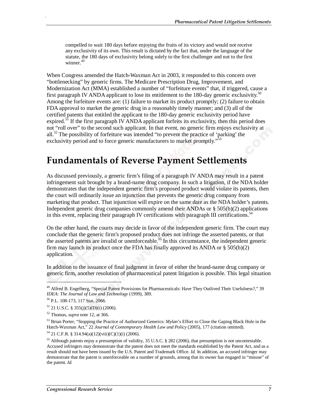compelled to wait 180 days before enjoying the fruits of its victory and would not receive any exclusivity of its own. This result is dictated by the fact that, under the language of the statute, the 180 days of exclusivity belong solely to the first challenger and not to the first winner.<sup>49</sup>

When Congress amended the Hatch-Waxman Act in 2003, it responded to this concern over "bottlenecking" by generic firms. The Medicare Prescription Drug, Improvement, and Modernization Act (MMA) established a number of "forfeiture events" that, if triggered, cause a first paragraph IV ANDA applicant to lose its entitlement to the 180-day generic exclusivity.<sup>50</sup> Among the forfeiture events are: (1) failure to market its product promptly; (2) failure to obtain FDA approval to market the generic drug in a reasonably timely manner; and (3) all of the certified patents that entitled the applicant to the 180-day generic exclusivity period have expired.<sup>51</sup> If the first paragraph IV ANDA applicant forfeits its exclusivity, then this period does not "roll over" to the second such applicant. In that event, no generic firm enjoys exclusivity at all.<sup>52</sup> The possibility of forfeiture was intended "to prevent the practice of 'parking' the exclusivity period and to force generic manufacturers to market promptly."<sup>53</sup>

### **Fundamentals of Reverse Payment Settlements**

As discussed previously, a generic firm's filing of a paragraph IV ANDA may result in a patent infringement suit brought by a brand-name drug company. In such a litigation, if the NDA holder demonstrates that the independent generic firm's proposed product would violate its patents, then the court will ordinarily issue an injunction that prevents the generic drug company from marketing that product. That injunction will expire on the same date as the NDA holder's patents. Independent generic drug companies commonly amend their ANDAs or § 505(b)(2) applications in this event, replacing their paragraph IV certifications with paragraph III certifications.<sup>54</sup>

On the other hand, the courts may decide in favor of the independent generic firm. The court may conclude that the generic firm's proposed product does not infringe the asserted patents, or that the asserted patents are invalid or unenforceable.<sup>55</sup> In this circumstance, the independent generic firm may launch its product once the FDA has finally approved its ANDA or  $\S 505(b)(2)$ application.

In addition to the issuance of final judgment in favor of either the brand-name drug company or generic firm, another resolution of pharmaceutical patent litigation is possible. This legal situation

 $\overline{\phantom{a}}$ 

<sup>&</sup>lt;sup>49</sup> Alfred B. Engelberg, "Special Patent Provisions for Pharmaceuticals: Have They Outlived Their Usefulness?," 39 *IDEA: The Journal of Law and Technology* (1999), 389.

<sup>50</sup> P.L. 108-173, 117 Stat. 2066.

 $51$  21 U.S.C. § 355(j)(5)(D)(i) (2006).

<sup>52</sup> Thomas, *supra* note 12, at 366.

<sup>53</sup> Brian Porter, "Stopping the Practice of Authorized Generics: *Mylan*'s Effort to Close the Gaping Black Hole in the Hatch-Waxman Act," 22 *Journal of Contemporary Health Law and Policy* (2005), 177 (citation omitted).

 $54$  21 C.F.R. § 314.94(a)(12)(viii)(C)(1)(i) (2006).

<sup>&</sup>lt;sup>55</sup> Although patents enjoy a presumption of validity, 35 U.S.C. § 282 (2006), that presumption is not uncontestable. Accused infringers may demonstrate that the patent does not meet the standards established by the Patent Act, and as a result should not have been issued by the U.S. Patent and Trademark Office. *Id.* In addition, an accused infringer may demonstrate that the patent is unenforceable on a number of grounds, among that its owner has engaged in "misuse" of the patent. *Id.*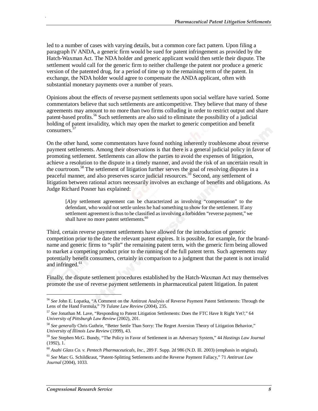led to a number of cases with varying details, but a common core fact pattern. Upon filing a paragraph IV ANDA, a generic firm would be sued for patent infringement as provided by the Hatch-Waxman Act. The NDA holder and generic applicant would then settle their dispute. The settlement would call for the generic firm to neither challenge the patent nor produce a generic version of the patented drug, for a period of time up to the remaining term of the patent. In exchange, the NDA holder would agree to compensate the ANDA applicant, often with substantial monetary payments over a number of years.

Opinions about the effects of reverse payment settlements upon social welfare have varied. Some commentators believe that such settlements are anticompetitive. They believe that many of these agreements may amount to no more than two firms colluding in order to restrict output and share patent-based profits.<sup>56</sup> Such settlements are also said to eliminate the possibility of a judicial holding of patent invalidity, which may open the market to generic competition and benefit consumers. $5$ <sup>7</sup>

On the other hand, some commentators have found nothing inherently troublesome about reverse payment settlements. Among their observations is that there is a general judicial policy in favor of promoting settlement. Settlements can allow the parties to avoid the expenses of litigation, achieve a resolution to the dispute in a timely manner, and avoid the risk of an uncertain result in the courtroom.<sup>58</sup> The settlement of litigation further serves the goal of resolving disputes in a peaceful manner, and also preserves scarce judicial resources.<sup>59</sup> Second, any settlement of litigation between rational actors necessarily involves an exchange of benefits and obligations. As Judge Richard Posner has explained:

[*A*]*ny* settlement agreement can be characterized as involving "compensation" to the defendant, who would not settle unless he had something to show for the settlement. If any settlement agreement is thus to be classified as involving a forbidden "reverse payment," we shall have no more patent settlements.<sup>60</sup>

Third, certain reverse payment settlements have allowed for the introduction of generic competition prior to the date the relevant patent expires. It is possible, for example, for the brandname and generic firms to "split" the remaining patent term, with the generic firm being allowed to market a competing product prior to the running of the full patent term. Such agreements may potentially benefit consumers, certainly in comparison to a judgment that the patent is not invalid and infringed. $61$ 

Finally, the dispute settlement procedures established by the Hatch-Waxman Act may themselves promote the use of reverse payment settlements in pharmaceutical patent litigation. In patent

1

<sup>56</sup> *See* John E. Lopatka, "A Comment on the Antitrust Analysis of Reverse Payment Patent Settlements: Through the Lens of the Hand Formula," 79 *Tulane Law Review* (2004), 235.

<sup>57</sup> *See* Jonathan M. Lave, "Responding to Patent Litigation Settlements: Does the FTC Have It Right Yet?," 64 *University of Pittsburgh Law Review* (2002), 201.

<sup>58</sup> *See generally* Chris Guthrie, "Better Settle Than Sorry: The Regret Aversion Theory of Litigation Behavior," *University of Illinois Law Review* (1999), 43.

<sup>59</sup> *See* Stephen McG. Bundy, "The Policy in Favor of Settlement in an Adversary System," 44 *Hastings Law Journal*  $(1992), 1.$ 

<sup>60</sup> *Asahi Glass Co. v. Pentech Pharmaceuticals, Inc.*, 289 F. Supp. 2d 986 (N.D. Ill. 2003) (emphasis in original).

<sup>61</sup> *See* Marc G. Schildkraut, "Patent-Splitting Settlements and the Reverse Payment Fallacy," 71 *Antitrust Law Journal* (2004), 1033.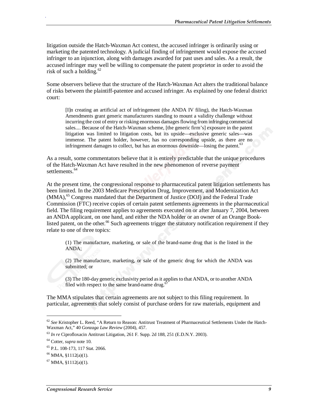litigation outside the Hatch-Waxman Act context, the accused infringer is ordinarily using or marketing the patented technology. A judicial finding of infringement would expose the accused infringer to an injunction, along with damages awarded for past uses and sales. As a result, the accused infringer may well be willing to compensate the patent proprietor in order to avoid the risk of such a holding.<sup>62</sup>

Some observers believe that the structure of the Hatch-Waxman Act alters the traditional balance of risks between the plaintiff-patentee and accused infringer. As explained by one federal district court:

[I]n creating an artificial act of infringement (the ANDA IV filing), the Hatch-Waxman Amendments grant generic manufacturers standing to mount a validity challenge without incurring the cost of entry or risking enormous damages flowing from infringing commercial sales.... Because of the Hatch-Waxman scheme, [the generic firm's] exposure in the patent litigation was limited to litigation costs, but its upside—exclusive generic sales—was immense. The patent holder, however, has no corresponding upside, as there are no infringement damages to collect, but has an enormous downside—losing the patent.<sup>63</sup>

As a result, some commentators believe that it is entirely predictable that the unique procedures of the Hatch-Waxman Act have resulted in the new phenomenon of reverse payment settlements.<sup>64</sup>

At the present time, the congressional response to pharmaceutical patent litigation settlements has been limited. In the 2003 Medicare Prescription Drug, Improvement, and Modernization Act (MMA),<sup>65</sup> Congress mandated that the Department of Justice (DOJ) and the Federal Trade Commission (FTC) receive copies of certain patent settlements agreements in the pharmaceutical field. The filing requirement applies to agreements executed on or after January 7, 2004, between an ANDA applicant, on one hand, and either the NDA holder or an owner of an Orange Booklisted patent, on the other.<sup>66</sup> Such agreements trigger the statutory notification requirement if they relate to one of three topics:

(1) The manufacture, marketing, or sale of the brand-name drug that is the listed in the ANDA;

(2) The manufacture, marketing, or sale of the generic drug for which the ANDA was submitted; or

(3) The 180-day generic exclusivity period as it applies to that ANDA, or to another ANDA filed with respect to the same brand-name drug.<sup>6</sup>

The MMA stipulates that certain agreements are not subject to this filing requirement. In particular, agreements that solely consist of purchase orders for raw materials, equipment and

1

<sup>62</sup> *See* Kristopher L. Reed, "A Return to Reason: Antitrust Treatment of Pharmaceutical Settlements Under the Hatch-Waxman Act," 40 *Gonzaga Law Review* (2004), 457.

<sup>63</sup> *In re* Ciprofloxacin Antitrust Litigation, 261 F. Supp. 2d 188, 251 (E.D.N.Y. 2003).

<sup>64</sup> Cotter, *supra* note 10.

<sup>65</sup> P.L. 108-173, 117 Stat. 2066.

 $66$  MMA,  $$1112(a)(1)$ .

 $67$  MMA, §1112(a)(1).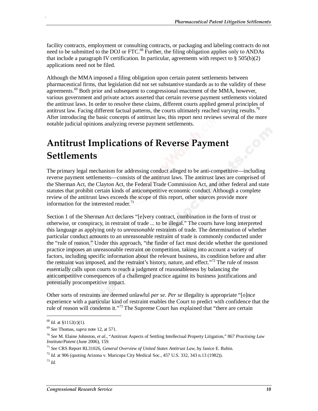facility contracts, employment or consulting contracts, or packaging and labeling contracts do not need to be submitted to the DOJ or FTC.<sup>68</sup> Further, the filing obligation applies only to ANDAs that include a paragraph IV certification. In particular, agreements with respect to  $\S 505(b)(2)$ applications need not be filed.

Although the MMA imposed a filing obligation upon certain patent settlements between pharmaceutical firms, that legislation did not set substantive standards as to the validity of these agreements. $\mathfrak{G}^9$  Both prior and subsequent to congressional enactment of the MMA, however, various government and private actors asserted that certain reverse payment settlements violated the antitrust laws. In order to resolve these claims, different courts applied general principles of antitrust law. Facing different factual patterns, the courts ultimately reached varying results.<sup>70</sup> After introducing the basic concepts of antitrust law, this report next reviews several of the more notable judicial opinions analyzing reverse payment settlements.

# **Antitrust Implications of Reverse Payment Settlements**

The primary legal mechanism for addressing conduct alleged to be anti-competitive—including reverse payment settlements—consists of the antitrust laws. The antitrust laws are comprised of the Sherman Act, the Clayton Act, the Federal Trade Commission Act, and other federal and state statutes that prohibit certain kinds of anticompetitive economic conduct. Although a complete review of the antitrust laws exceeds the scope of this report, other sources provide more information for the interested reader.<sup>71</sup>

Section 1 of the Sherman Act declares "[e]very contract, combination in the form of trust or otherwise, or conspiracy, in restraint of trade ... to be illegal." The courts have long interpreted this language as applying only to *unreasonable* restraints of trade. The determination of whether particular conduct amounts to an unreasonable restraint of trade is commonly conducted under the "rule of reason." Under this approach, "the finder of fact must decide whether the questioned practice imposes an unreasonable restraint on competition, taking into account a variety of factors, including specific information about the relevant business, its condition before and after the restraint was imposed, and the restraint's history, nature, and effect."<sup>72</sup> The rule of reason essentially calls upon courts to reach a judgment of reasonableness by balancing the anticompetitive consequences of a challenged practice against its business justifications and potentially procompetitive impact.

Other sorts of restraints are deemed unlawful *per se*. *Per se* illegality is appropriate "[o]nce experience with a particular kind of restraint enables the Court to predict with confidence that the rule of reason will condemn it."<sup>73</sup> The Supreme Court has explained that "there are certain

1

<sup>68</sup> *Id.* at §1112(c)(1). 69 *See* Thomas, *supra* note 12, at 571.

<sup>70</sup> *See* M. Elaine Johnston, *et al.*, "Antitrust Aspects of Settling Intellectual Property Litigation," 867 *Practising Law Institute/Patent* (June 2006), 159.

<sup>71</sup> *See* CRS Report RL31026, *General Overview of United States Antitrust Law*, by Janice E. Rubin.

 $^{72}$  *Id.* at 906 (quoting Arizona v. Maricopa City Medical Soc., 457 U.S. 332, 343 n.13 (1982)).

<sup>73</sup> *Id.*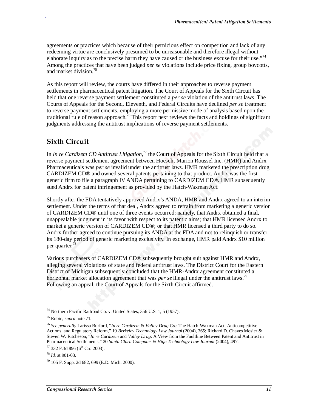agreements or practices which because of their pernicious effect on competition and lack of any redeeming virtue are conclusively presumed to be unreasonable and therefore illegal without elaborate inquiry as to the precise harm they have caused or the business excuse for their use."<sup>74</sup> Among the practices that have been judged *per se* violations include price fixing, group boycotts, and market division.<sup>75</sup>

As this report will review, the courts have differed in their approaches to reverse payment settlements in pharmaceutical patent litigation. The Court of Appeals for the Sixth Circuit has held that one reverse payment settlement constituted a *per se* violation of the antitrust laws. The Courts of Appeals for the Second, Eleventh, and Federal Circuits have declined *per se* treatment to reverse payment settlements, employing a more permissive mode of analysis based upon the traditional rule of reason approach.<sup>76</sup> This report next reviews the facts and holdings of significant judgments addressing the antitrust implications of reverse payment settlements.

### **Sixth Circuit**

.

In *In re Cardizem CD Antitrust Litigation*, 77 the Court of Appeals for the Sixth Circuit held that a reverse payment settlement agreement between Hoescht Marion Roussel Inc. (HMR) and Andrx Pharmaceuticals was *per se* invalid under the antitrust laws. HMR marketed the prescription drug CARDIZEM CD® and owned several patents pertaining to that product. Andrx was the first generic firm to file a paragraph IV ANDA pertaining to CARDIZEM CD®. HMR subsequently sued Andrx for patent infringement as provided by the Hatch-Waxman Act.

Shortly after the FDA tentatively approved Andrx's ANDA, HMR and Andrx agreed to an interim settlement. Under the terms of that deal, Andrx agreed to refrain from marketing a generic version of CARDIZEM CD® until one of three events occurred: namely, that Andrx obtained a final, unappealable judgment in its favor with respect to its patent claims; that HMR licensed Andrx to market a generic version of CARDIZEM CD®; or that HMR licensed a third party to do so. Andrx further agreed to continue pursuing its ANDA at the FDA and not to relinquish or transfer its 180-day period of generic marketing exclusivity. In exchange, HMR paid Andrx \$10 million per quarter.<sup>7</sup>

Various purchasers of CARDIZEM CD® subsequently brought suit against HMR and Andrx, alleging several violations of state and federal antitrust laws. The District Court for the Eastern District of Michigan subsequently concluded that the HMR-Andrx agreement constituted a horizontal market allocation agreement that was *per se* illegal under the antitrust laws.<sup>79</sup> Following an appeal, the Court of Appeals for the Sixth Circuit affirmed.

1

<sup>74</sup> Northern Pacific Railroad Co. v. United States, 356 U.S. 1, 5 (1957).

<sup>75</sup> Rubin, *supra* note 71.

<sup>76</sup> *See generally* Larissa Burford, "*In re Cardizem* & *Valley Drug Co.*: The Hatch-Waxman Act, Anticompetitive Actions, and Regulatory Reform," 19 *Berkeley Technology Law Journal* (2004), 365; Richard D. Chaves Mosier & Steven W. Ritcheson, "*In re Cardizem* and *Valley Drug*: A View from the Faultline Between Patent and Antitrust in Pharmaceutical Settlements," 20 *Santa Clara Computer & High Technology Law Journal* (2004), 497.

 $77$  332 F.3d 896 (6<sup>th</sup> Cir. 2003).

<sup>78</sup> *Id.* at 901-03.

 $79$  105 F. Supp. 2d 682, 699 (E.D. Mich. 2000).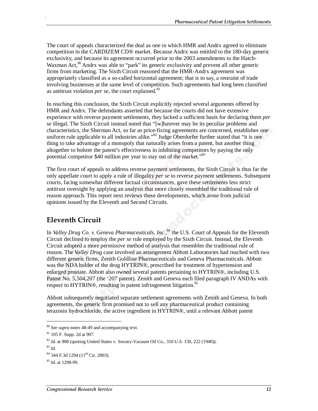The court of appeals characterized the deal as one in which HMR and Andrx agreed to eliminate competition in the CARDIZEM CD® market. Because Andrx was entitled to the 180-day generic exclusivity, and because its agreement occurred prior to the 2003 amendments to the Hatch-Waxman Act, $\frac{80}{3}$  Andrx was able to "park" its generic exclusivity and prevent all other generic firms from marketing. The Sixth Circuit reasoned that the HMR-Andrx agreement was appropriately classified as a so-called horizontal agreement; that is to say, a restraint of trade involving businesses at the same level of competition. Such agreements had long been classified as antitrust violation *per se*, the court explained.<sup>81</sup>

In reaching this conclusion, the Sixth Circuit explicitly rejected several arguments offered by HMR and Andrx. The defendants asserted that because the courts did not have extensive experience with reverse payment settlements, they lacked a sufficient basis for declaring them *per se* illegal. The Sixth Circuit instead noted that "[w]hatever may be its peculiar problems and characteristics, the Sherman Act, so far as price-fixing agreements are concerned, establishes one uniform rule applicable to all industries alike."<sup>82</sup> Judge Oberdorfer further stated that "it is one" thing to take advantage of a monopoly that naturally arises from a patent, but another thing altogether to bolster the patent's effectiveness in inhibiting competitors by paying the only potential competitor \$40 million per year to stay out of the market."<sup>83</sup>

The first court of appeals to address reverse payment settlements, the Sixth Circuit is thus far the only appellate court to apply a rule of illegality *per se* to reverse payment settlements. Subsequent courts, facing somewhat different factual circumstances, gave these settlements less strict antitrust oversight by applying an analysis that more closely resembled the traditional rule of reason approach. This report next reviews these developments, which arose from judicial opinions issued by the Eleventh and Second Circuits.

#### **Eleventh Circuit**

In *Valley Drug Co. v. Geneva Pharmaceuticals, Inc.*, 84 the U.S. Court of Appeals for the Eleventh Circuit declined to employ the *per se* rule employed by the Sixth Circuit. Instead, the Eleventh Circuit adopted a more permissive method of analysis that resembles the traditional rule of reason. The *Valley Drug* case involved an arrangement Abbott Laboratories had reached with two different generic firms, Zenith Goldline Pharmaceuticals and Geneva Pharmaceuticals. Abbott was the NDA holder of the drug HYTRIN®, prescribed for treatment of hypertension and enlarged prostate. Abbott also owned several patents pertaining to HYTRIN®, including U.S. Patent No. 5,504,207 (the '207 patent). Zenith and Geneva each filed paragraph IV ANDAs with respect to HYTRIN®, resulting in patent infringement litigation.<sup>85</sup>

Abbott subsequently negotiated separate settlement agreements with Zenith and Geneva. In both agreements, the generic firm promised not to sell any pharmaceutical product containing terazosin hydrochloride, the active ingredient in HYTRIN®, until a relevant Abbott patent

<u>.</u>

<sup>80</sup> *See supra* notes 48-49 and accompanying text. 81 105 F. Supp. 2d at 907.

<sup>&</sup>lt;sup>82</sup> *Id.* at 908 (quoting United States v. Socony-Vacuum Oil Co., 310 U.S. 150, 222 (1940)).

<sup>83</sup> *Id.*

 $84$  344 F.3d 1294 (11<sup>th</sup> Cir. 2003).

<sup>85</sup> *Id.* at 1298-99.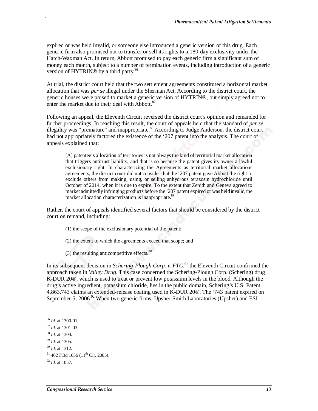expired or was held invalid, or someone else introduced a generic version of this drug. Each generic firm also promised not to transfer or sell its rights to a 180-day exclusivity under the Hatch-Waxman Act. In return, Abbott promised to pay each generic firm a significant sum of money each month, subject to a number of termination events, including introduction of a generic version of HYTRIN® by a third party.<sup>86</sup>

At trial, the district court held that the two settlement agreements constituted a horizontal market allocation that was *per se* illegal under the Sherman Act. According to the district court, the generic houses were poised to market a generic version of HYTRIN®, but simply agreed not to enter the market due to their deal with Abbott. $87$ 

Following an appeal, the Eleventh Circuit reversed the district court's opinion and remanded for further proceedings. In reaching this result, the court of appeals held that the standard of *per se* illegality was "premature" and inappropriate.<sup>88</sup> According to Judge Anderson, the district court had not appropriately factored the existence of the '207 patent into the analysis. The court of appeals explained that:

[A] patentee's allocation of territories is not always the kind of territorial market allocation that triggers antitrust liability, and that is so because the patent gives its owner a lawful exclusionary right. In characterizing the Agreements as territorial market allocations agreements, the district court did not consider that the '207 patent gave Abbott the right to exclude others from making, using, or selling anhydrous terazosin hydrochloride until October of 2014, when it is due to expire. To the extent that Zenith and Geneva agreed to market admittedly infringing products before the '207 patent expired or was held invalid, the market allocation characterization is inappropriate.<sup>89</sup>

Rather, the court of appeals identified several factors that should be considered by the district court on remand, including:

- (1) the scope of the exclusionary potential of the patent;
- (2) the extent to which the agreements exceed that scope; and
- $(3)$  the resulting anticompetitive effects.<sup>90</sup>

In its subsequent decision in *Schering-Plough Corp. v. FTC*,<sup>91</sup> the Eleventh Circuit confirmed the approach taken in *Valley Drug*. This case concerned the Schering-Plough Corp. (Schering) drug K-DUR 20®, which is used to treat or prevent low potassium levels in the blood. Although the drug's active ingredient, potassium chloride, lies in the public domain, Schering's U.S. Patent 4,863,743 claims an extended-release coating used in K-DUR 20®. The '743 patent expired on September 5, 2006.<sup>92</sup> When two generic firms, Upsher-Smith Laboratories (Upsher) and ESI

<u>.</u>

<sup>86</sup> *Id.* at 1300-01.

<sup>87</sup> *Id.* at 1301-03. 88 *Id.* at 1304.

<sup>89</sup> *Id.* at 1305.

<sup>90</sup> *Id.* at 1312.

 $91$  402 F.3d 1056 (11<sup>th</sup> Cir. 2005).

<sup>92</sup> *Id.* at 1057.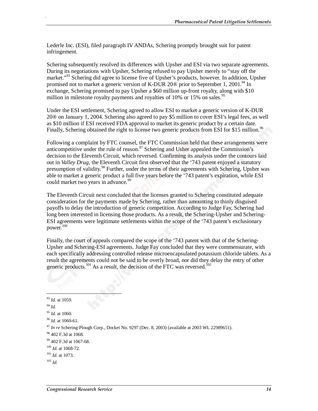Lederle Inc. (ESI), filed paragraph IV ANDAs, Schering promptly brought suit for patent infringement.

Schering subsequently resolved its differences with Upsher and ESI via two separate agreements. During its negotiations with Upsher, Schering refused to pay Upsher merely to "stay off the market."<sup>93</sup> Schering did agree to license five of Upsher's products, however. In addition, Upsher promised not to market a generic version of K-DUR 20 $\omega$  prior to September 1, 2001.<sup>94</sup> In exchange, Schering promised to pay Upsher a \$60 million up-front royalty, along with \$10 million in milestone royalty payments and royalties of 10% or 15% on sales.<sup>95</sup>

Under the ESI settlement, Schering agreed to allow ESI to market a generic version of K-DUR 20® on January 1, 2004. Schering also agreed to pay \$5 million to cover ESI's legal fees, as well as \$10 million if ESI received FDA approval to market its generic product by a certain date. Finally, Schering obtained the right to license two generic products from ESI for \$15 million.<sup>96</sup>

Following a complaint by FTC counsel, the FTC Commission held that these arrangements were anticompetitive under the rule of reason.<sup>97</sup> Schering and Usher appealed the Commission's decision to the Eleventh Circuit, which reversed. Confirming its analysis under the contours laid out in *Valley Drug*, the Eleventh Circuit first observed that the '743 patent enjoyed a statutory presumption of validity.<sup>98</sup> Further, under the terms of their agreements with Schering, Upsher was able to market a generic product a full five years before the '743 patent's expiration, while ESI could market two years in advance.<sup>99</sup>

The Eleventh Circuit next concluded that the licenses granted to Schering constituted adequate consideration for the payments made by Schering, rather than amounting to thinly disguised payoffs to delay the introduction of generic competition. According to Judge Fay, Schering had long been interested in licensing those products. As a result, the Schering-Upsher and Schering-ESI agreements were legitimate settlements within the scope of the '743 patent's exclusionary power.<sup>100</sup>

Finally, the court of appeals compared the scope of the '743 patent with that of the Schering-Upsher and Schering-ESI agreements. Judge Fay concluded that they were commensurate, with each specifically addressing controlled release microencapsulated potassium chloride tablets. As a result the agreements could not be said to be overly broad, nor did they delay the entry of other generic products.<sup>101</sup> As a result, the decision of the FTC was reversed.<sup>102</sup>

<sup>1</sup> <sup>93</sup> *Id.* at 1059. <sup>94</sup> *Id.* <sup>95</sup> *Id.* at 1060. <sup>96</sup> *Id.* at 1060-61. <sup>97</sup> *In re* Schering-Plough Corp., Docket No. 9297 (Dec. 8, 2003) (available at 2003 WL 22989651). 98 402 F.3d at 1068. 99 402 F.3d at 1067-68. <sup>100</sup> *Id.* at 1068-72. <sup>101</sup> *Id.* at 1073. <sup>102</sup> *Id.*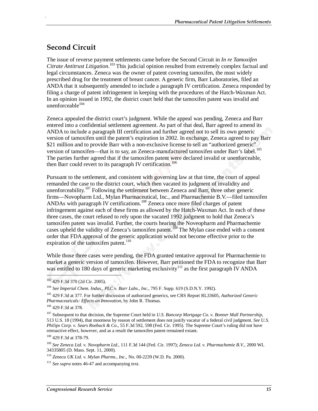### **Second Circuit**

.

The issue of reverse payment settlements came before the Second Circuit in *In re Tamoxifen Citrate Antitrust Litigation*. 103 This judicial opinion resulted from extremely complex factual and legal circumstances. Zeneca was the owner of patent covering tamoxifen, the most widely prescribed drug for the treatment of breast cancer. A generic firm, Barr Laboratories, filed an ANDA that it subsequently amended to include a paragraph IV certification. Zeneca responded by filing a charge of patent infringement in keeping with the procedures of the Hatch-Waxman Act. In an opinion issued in 1992, the district court held that the tamoxifen patent was invalid and unenforceable $104$ 

Zeneca appealed the district court's judgment. While the appeal was pending, Zeneca and Barr entered into a confidential settlement agreement. As part of that deal, Barr agreed to amend its ANDA to include a paragraph III certification and further agreed not to sell its own generic version of tamoxifen until the patent's expiration in 2002. In exchange, Zeneca agreed to pay Barr \$21 million and to provide Barr with a non-exclusive license to sell an "authorized generic" version of tamoxifen—that is to say, an Zeneca-manufactured tamoxifen under Barr's label.<sup>105</sup> The parties further agreed that if the tamoxifen patent were declared invalid or unenforceable, then Barr could revert to its paragraph IV certification.<sup>106</sup>

Pursuant to the settlement, and consistent with governing law at that time, the court of appeal remanded the case to the district court, which then vacated its judgment of invalidity and unenforceability.<sup>107</sup> Following the settlement between Zeneca and Barr, three other generic firms—Novopharm Ltd., Mylan Pharmaceutical, Inc., and Pharmachemie B.V.—filed tamoxifen ANDAs with paragraph IV certifications.108 Zeneca once more filed charges of patent infringement against each of these firms as allowed by the Hatch-Waxman Act. In each of these three cases, the court refused to rely upon the vacated 1992 judgment to hold that Zeneca's tamoxifen patent was invalid. Further, the courts hearing the Noveopharm and Pharmachemie cases upheld the validity of Zeneca's tamoxifen patent.<sup>109</sup> The Mylan case ended with a consent order that FDA approval of the generic application would not become effective prior to the expiration of the tamoxifen patent.<sup>110</sup>

While those three cases were pending, the FDA granted tentative approval for Pharmachemie to market a generic version of tamoxifen. However, Barr petitioned the FDA to recognize that Barr was entitled to 180 days of generic marketing exclusivity<sup>111</sup> as the first paragraph IV ANDA

<sup>103 429</sup> F.3d 370 (2d Cir. 2005).

<sup>104</sup> *See Imperial Chem. Indus., PLC v. Barr Labs., Inc.*, 795 F. Supp. 619 (S.D.N.Y. 1992).

<sup>105 429</sup> F.3d at 377. For further discussion of authorized generics, see CRS Report RL33605, *Authorized Generic Pharmaceuticals: Effects on Innovation*, by John R. Thomas.

<sup>106 429</sup> F.3d at 378.

<sup>107</sup> Subsequent to that decision, the Supreme Court held in *U.S. Bancorp Mortgage Co. v. Bonner Mall Partnership*, 513 U.S. 18 (1994), that mootness by reason of settlement does not justify vacatur of a federal civil judgment. *See U.S. Philips Corp. v. Sears Roebuck & Co.*, 55 F.3d 592, 598 (Fed. Cir. 1995). The Supreme Court's ruling did not have retroactive effect, however, and as a result the tamoxifen patent remained extant.

<sup>108 429</sup> F.3d at 378-79.

<sup>109</sup> *See Zeneca Ltd. v. Novopharm Ltd.*, 111 F.3d 144 (Fed. Cir. 1997); *Zeneca Ltd. v. Pharmachemie B.V.*, 2000 WL 34335805 (D. Mass. Sept. 11, 2000).

<sup>110</sup> *Zeneca UK Ltd. v. Mylan Pharms., Inc.*, No. 00-2239 (W.D. Pa. 2000).

<sup>111</sup> *See supra* notes 46-47 and accompanying text.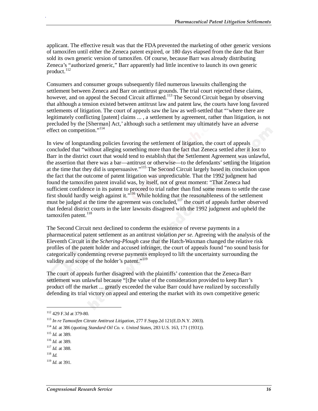applicant. The effective result was that the FDA prevented the marketing of other generic versions of tamoxifen until either the Zeneca patent expired, or 180 days elapsed from the date that Barr sold its own generic version of tamoxifen. Of course, because Barr was already distributing Zeneca's "authorized generic," Barr apparently had little incentive to launch its own generic product.<sup>112</sup>

Consumers and consumer groups subsequently filed numerous lawsuits challenging the settlement between Zeneca and Barr on antitrust grounds. The trial court rejected these claims, however, and on appeal the Second Circuit affirmed.<sup>113</sup> The Second Circuit began by observing that although a tension existed between antitrust law and patent law, the courts have long favored settlements of litigation. The court of appeals saw the law as well-settled that "'where there are legitimately conflicting [patent] claims ... , a settlement by agreement, rather than litigation, is not precluded by the [Sherman] Act,' although such a settlement may ultimately have an adverse effect on competition."<sup>114</sup>

In view of longstanding policies favoring the settlement of litigation, the court of appeals concluded that "without alleging something more than the fact that Zeneca settled after it lost to Barr in the district court that would tend to establish that the Settlement Agreement was unlawful, the assertion that there was a bar—antitrust or otherwise—to the defendants' settling the litigation at the time that they did is unpersuasive."115 The Second Circuit largely based its conclusion upon the fact that the outcome of patent litigation was unpredictable. That the 1992 judgment had found the tamoxifen patent invalid was, by itself, not of great moment: "That Zeneca had sufficient confidence in its patent to proceed to trial rather than find some means to settle the case first should hardly weigh against it."<sup>116</sup> While holding that the reasonableness of the settlement must be judged at the time the agreement was concluded,<sup>117</sup> the court of appeals further observed that federal district courts in the later lawsuits disagreed with the 1992 judgment and upheld the tamoxifen patent.<sup>118</sup>

The Second Circuit next declined to condemn the existence of reverse payments in a pharmaceutical patent settlement as an antitrust violation *per se*. Agreeing with the analysis of the Eleventh Circuit in the *Schering-Plough* case that the Hatch-Waxman changed the relative risk profiles of the patent holder and accused infringer, the court of appeals found "no sound basis for categorically condemning reverse payments employed to lift the uncertainty surrounding the validity and scope of the holder's patent."<sup>119</sup>

The court of appeals further disagreed with the plaintiffs' contention that the Zeneca-Barr settlement was unlawful because "[t]he value of the consideration provided to keep Barr's product off the market ... greatly exceeded the value Barr could have realized by successfully defending its trial victory on appeal and entering the market with its own competitive generic

<u>.</u>

<sup>112 429</sup> F.3d at 379-80.

<sup>113</sup> *In re Tamoxifen Citrate Antitrust Litigation*, 277 F.Supp.2d 121(E.D.N.Y. 2003).

<sup>114</sup> *Id.* at 386 (quoting *Standard Oil Co. v. United States*, 283 U.S. 163, 171 (1931)). 115 *Id.* at 389.

<sup>116</sup> *Id.* at 389.

<sup>117</sup> *Id.* at 388.

<sup>118</sup> *Id.*

<sup>119</sup> *Id*. at 391.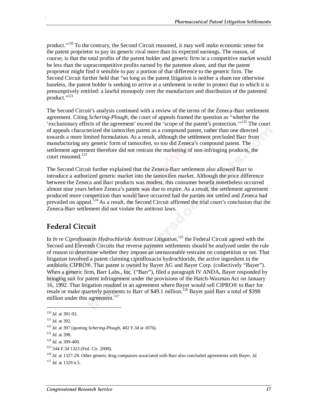product."<sup>120</sup> To the contrary, the Second Circuit reasoned, it may well make economic sense for the patent proprietor to pay its generic rival more than its expected earnings. The reason, of course, is that the total profits of the patent holder and generic firm in a competitive market would be less than the supracompetitive profits earned by the patentee alone, and that the patent proprietor might find it sensible to pay a portion of that difference to the generic firm. The Second Circuit further held that "so long as the patent litigation is neither a sham nor otherwise baseless, the patent holder is seeking to arrive at a settlement in order to protect that to which it is presumptively entitled: a lawful monopoly over the manufacture and distribution of the patented product." $^{121}$ 

The Second Circuit's analysis continued with a review of the terms of the Zeneca-Barr settlement agreement. Citing *Schering-Plough*, the court of appeals framed the question as "whether the 'exclusionary effects of the agreement' exceed the 'scope of the patent's protection.'"<sup>122</sup> The court of appeals characterized the tamoxifen patent as a compound patent, rather than one directed towards a more limited formulation. As a result, although the settlement precluded Barr from manufacturing any generic form of tamoxifen, so too did Zeneca's compound patent. The settlement agreement therefore did not restrain the marketing of non-infringing products, the court reasoned.<sup>123</sup>

The Second Circuit further explained that the Zeneca-Barr settlement also allowed Barr to introduce a authorized generic market into the tamoxifen market. Although the price difference between the Zeneca and Barr products was modest, this consumer benefit nonetheless occurred almost nine years before Zeneca's patent was due to expire. As a result, the settlement agreement produced more competition than would have occurred had the parties not settled and Zeneca had prevailed on appeal.<sup>124</sup> As a result, the Second Circuit affirmed the trial court's conclusion that the Zeneca-Barr settlement did not violate the antitrust laws.

### **Federal Circuit**

In *In re Ciprofloxacin Hydrochloride Antitrust Litigation*,<sup>125</sup> the Federal Circuit agreed with the Second and Eleventh Circuits that reverse payment settlements should be analyzed under the rule of reason to determine whether they impose an unreasonable restraint on competition or not. That litigation involved a patent claiming ciprofloxacin hydrochloride, the active ingredient in the antibiotic CIPRO®. That patent is owned by Bayer AG and Bayer Corp. (collectively "Bayer"). When a generic firm, Barr Labs., Inc. ("Barr"), filed a paragraph IV ANDA, Bayer responded by bringing suit for patent infringement under the provisions of the Hatch-Waxman Act on January 16, 1992. That litigation resulted in an agreement where Bayer would sell CIPRO® to Barr for resale or make quarterly payments to Barr of \$49.1 million.<sup>126</sup> Bayer paid Barr a total of \$398 million under this agreement.<sup>127</sup>

<u>.</u>

<sup>120</sup> *Id.* at 391-92.

<sup>121</sup> *Id.* at 392.

<sup>122</sup> *Id.* at 397 (quoting *Schering-Plough*, 402 F.3d at 1076).

<sup>123</sup> *Id.* at 398.

<sup>124</sup> *Id.* at 399-400.

<sup>125 544</sup> F.3d 1323 (Fed. Cir. 2008).

<sup>126</sup> *Id*. at 1327-29. Other generic drug companies associated with Barr also concluded agreements with Bayer. *Id.*

<sup>127</sup> *Id.* at 1329 n.5.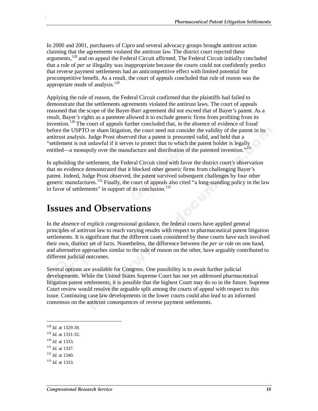In 2000 and 2001, purchasers of Cipro and several advocacy groups brought antitrust action claiming that the agreements violated the antitrust law. The district court rejected these arguments,<sup>128</sup> and on appeal the Federal Circuit affirmed. The Federal Circuit initially concluded that a rule of *per se* illegality was inappropriate because the courts could not confidently predict that reverse payment settlements had an anticompetitive effect with limited potential for procompetitive benefit. As a result, the court of appeals concluded that rule of reason was the appropriate mode of analysis. $^{129}$ 

Applying the rule of reason, the Federal Circuit confirmed that the plaintiffs had failed to demonstrate that the settlements agreements violated the antitrust laws. The court of appeals reasoned that the scope of the Bayer-Barr agreement did not exceed that of Bayer's patent. As a result, Bayer's rights as a patentee allowed it to exclude generic firms from profiting from its invention.130 The court of appeals further concluded that, in the absence of evidence of fraud before the USPTO or sham litigation, the court need not consider the validity of the patent in its antitrust analysis. Judge Prost observed that a patent is presumed valid, and held that a "settlement is not unlawful if it serves to protect that to which the patent holder is legally entitled—a monopoly over the manufacture and distribution of the patented invention."<sup>131</sup>

In upholding the settlement, the Federal Circuit cited with favor the district court's observation that no evidence demonstrated that it blocked other generic firms from challenging Bayer's patent. Indeed, Judge Prost observed, the patent survived subsequent challenges by four other generic manufactures.<sup>132</sup> Finally, the court of appeals also cited  $\cdot$  a long-standing policy in the law in favor of settlements" in support of its conclusion.<sup>133</sup>

### **Issues and Observations**

In the absence of explicit congressional guidance, the federal courts have applied general principles of antitrust law to reach varying results with respect to pharmaceutical patent litigation settlements. It is significant that the different cases considered by these courts have each involved their own, distinct set of facts. Nonetheless, the difference between the *per se* rule on one hand, and alternative approaches similar to the rule of reason on the other, have arguably contributed to different judicial outcomes.

Several options are available for Congress. One possibility is to await further judicial developments. While the United States Supreme Court has not yet addressed pharmaceutical litigation patent settlements, it is possible that the highest Court may do so in the future. Supreme Court review would resolve the arguable split among the courts of appeal with respect to this issue. Continuing case law developments in the lower courts could also lead to an informed consensus on the antitrust consequences of reverse payment settlements.

<sup>130</sup> *Id.* at 1333.

<u>.</u>

- <sup>131</sup> *Id.* at 1337.
- <sup>132</sup> *Id.* at 1340.

<sup>128</sup> *Id.* at 1329-30. 129 *Id.* at 1331-32.

<sup>133</sup> *Id.* at 1333.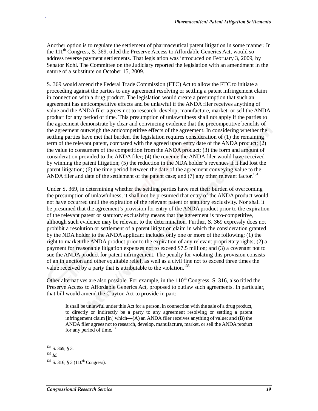Another option is to regulate the settlement of pharmaceutical patent litigation in some manner. In the  $111<sup>th</sup>$  Congress, S. 369, titled the Preserve Access to Affordable Generics Act, would so address reverse payment settlements. That legislation was introduced on February 3, 2009, by Senator Kohl. The Committee on the Judiciary reported the legislation with an amendment in the nature of a substitute on October 15, 2009.

S. 369 would amend the Federal Trade Commission (FTC) Act to allow the FTC to initiate a proceeding against the parties to any agreement resolving or settling a patent infringement claim in connection with a drug product. The legislation would create a presumption that such an agreement has anticompetitive effects and be unlawful if the ANDA filer receives anything of value and the ANDA filer agrees not to research, develop, manufacture, market, or sell the ANDA product for any period of time. This presumption of unlawfulness shall not apply if the parties to the agreement demonstrate by clear and convincing evidence that the precompetitive benefits of the agreement outweigh the anticompetitive effects of the agreement. In considering whether the settling parties have met that burden, the legislation requires consideration of (1) the remaining term of the relevant patent, compared with the agreed upon entry date of the ANDA product; (2) the value to consumers of the competition from the ANDA product; (3) the form and amount of consideration provided to the ANDA filer; (4) the revenue the ANDA filer would have received by winning the patent litigation; (5) the reduction in the NDA holder's revenues if it had lost the patent litigation; (6) the time period between the date of the agreement conveying value to the ANDA filer and date of the settlement of the patent case; and  $(7)$  any other relevant factor.<sup>134</sup>

Under S. 369, in determining whether the settling parties have met their burden of overcoming the presumption of unlawfulness, it shall not be presumed that entry of the ANDA product would not have occurred until the expiration of the relevant patent or statutory exclusivity. Nor shall it be presumed that the agreement's provision for entry of the ANDA product prior to the expiration of the relevant patent or statutory exclusivity means that the agreement is pro-competitive, although such evidence may be relevant to the determination. Further, S. 369 expressly does not prohibit a resolution or settlement of a patent litigation claim in which the consideration granted by the NDA holder to the ANDA applicant includes only one or more of the following: (1) the right to market the ANDA product prior to the expiration of any relevant proprietary rights; (2) a payment for reasonable litigation expenses not to exceed \$7.5 million; and (3) a covenant not to sue the ANDA product for patent infringement. The penalty for violating this provision consists of an injunction and other equitable relief, as well as a civil fine not to exceed three times the value received by a party that is attributable to the violation.<sup>135</sup>

Other alternatives are also possible. For example, in the  $110^{th}$  Congress, S, 316, also titled the Preserve Access to Affordable Generics Act, proposed to outlaw such agreements. In particular, that bill would amend the Clayton Act to provide in part:

It shall be unlawful under this Act for a person, in connection with the sale of a drug product, to directly or indirectly be a party to any agreement resolving or settling a patent infringement claim [in] which—(A) an ANDA filer receives anything of value; and (B) the ANDA filer agrees not to research, develop, manufacture, market, or sell the ANDA product for any period of time.<sup>136</sup>

1

<sup>134</sup> S. 369, § 3.

 $^{135}$  *Id.* 

 $136$  S. 316, § 3 (110<sup>th</sup> Congress).